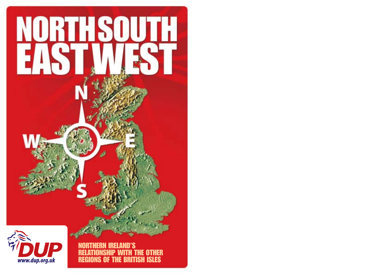



NORTHERN IRELAND'S RELATIONSHIP WITH THE OTHER REGIONS OF THE BRITISH ISLES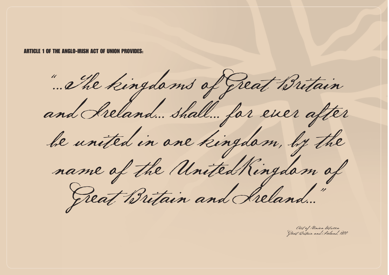ARTICLE 1 OF THE ANGLO-IRISH ACT OF UNION PROVIDES:

"... <sup>T</sup> he kingdoms of Great Britain and Ireland... shall... for ever after<br>be united in one kingdom, by the<br>name of the United Kingdom of<br>Great Britain and Ireland..."

Act of Union bet ween Great Britain and Ireland, 1800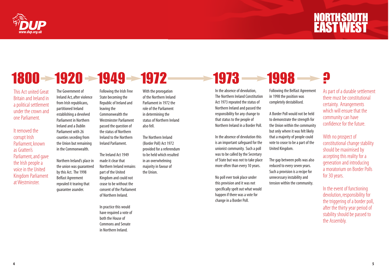

### $1800 - 1920 - 1949 - 1972$  1973 - 1998

This Act united Great Britain and Ireland in a political settlement under the crown and one Parliament.

It removed the corrupt Irish Parliament, known as Gratten's Parliament, and gave the Irish people a voice in the United Kingdom Parliament at Westminster.

The Government of Ireland Act, after violence from Irish republicans, partitioned Ireland establishing a devolved Parliament in Northern Ireland and a Dublin Parliament with 26 counties seceding from the Union but remaining

in the Commonwealth.

Northern Ireland's place in the union was guaranteed bythis Act. The 1998 Belfast Agreement repealed it tearing that guarantee asunder.

Following the Irish Free State becoming the Republic of Ireland and leaving the Commonwealth the Westminster Parliament passed the question of the status of Northern Ireland to the Northern Ireland Parliament.

The Ireland Act 1949 made it clear that Northern Ireland remains part of the United Kingdom and could not cease to be without the consent of the Parliament of Northern Ireland.

In practice this would have required a vote of both the House of Commons and Senate in Northern Ireland.

With the prorogation of the Northern Ireland Parliament in 1972 the role of the Parliament in determining the status of Northern Ireland also fell.

The Northern Ireland (Border Poll) Act 1972 provided for a referendum tobe held which resulted in an overwhelming majority in favour of the Union.

In the absence of devolution, The Northern Ireland Constitution Act 1973 repeated the status of Northern Ireland and passed the responsibility for any change to that status to the people of Northern Ireland in a Border Poll.

In the absence of devolution this is an important safeguard for the unionist community. Such a poll was to be called by the Secretary of State but was not to take place more often than every 10 years.

No poll ever took place under this provision and it was not specifically spelt out what would happen if there was a vote for change in a Border Poll.

Following the Belfast Agreement in 1998 the position was

A Border Poll would not be held to demonstrate the strength for the Union within the community but only where it was felt likely that a majority of people could vote to cease to be a part of the United Kingdom.

completely destabilised.

The gap between polls was also reduced to every seven years. Such a provision is a recipe for unnecessary instability and tension within the community.

As part of a durable settlement there must be constitutional certainty. Arrangements which will ensure that the community can have confidence for the future.

With no prospect of constitutional change stability should be maximised by accepting this reality for a generation and introducing a moratorium on Border Polls for 30 years.

In the event of functioning devolution, responsibility for the triggering of a border poll, after the thirty year period of stability should be passed to the Assembly.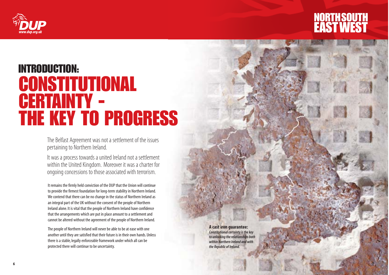



### INTRODUCTION: CONSTITUTIONAL CERTAINTY -THE KEY TO PROGRESS

The Belfast Agreement was not a settlement of the issues pertaining to Northern Ireland.

It was a process towards a united Ireland not a settlement within the United Kingdom. Moreover it was a charter for ongoing concessions to those associated with terrorism.

It remains the firmly held conviction of the DUP that the Union will continue to provide the firmest foundation for long-term stability in Northern Ireland. We contend that there can be no change in the status of Northern Ireland as an integral part of the UK without the consent of the people of Northern Ireland alone. It is vital that the people of Northern Ireland have confidence that the arrangements which are put in place amount to a settlement and cannot be altered without the agreement of the people of Northern Ireland.

The people of Northern Ireland will never be able to be at ease with one another until they are satisfied that their future is in their own hands. Unless there is a stable, legally enforceable framework under which all can be protected there will continue to be uncertainty.

**A cast iron guarantee:** *Constitutional certainty is the key to unlocking the relationships both within Northern Ireland and with the Republic of Ireland.*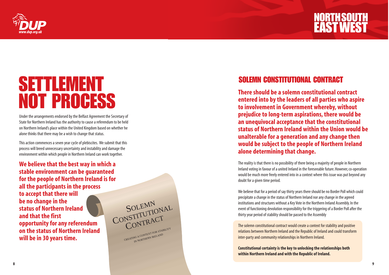

### SETTLEMENT NOT PROCESS

Under the arrangements endorsed by the Belfast Agreement the Secretary of State for Northern Ireland has the authority to cause a referendum to be held on Northern Ireland's place within the United Kingdom based on whether he alone thinks that there may be a wish to change that status.

This action commences a seven year cycle of plebiscites. We submit that this process will breed unnecessary uncertainty and instability and damage the environment within which people in Northern Ireland can work together.

**We believe that the best way in which a stable environment can be guaranteed for the people of Northern Ireland is for all the participants in the process to accept that there will be no change in the status of Northern Ireland and that the first opportunity for any referendum on the status of Northern Ireland will be in 30 years time.**



### SOLEMN CONSTITUTIONAL CONTRACT

**There should be a solemn constitutional contract entered into by the leaders of all parties who aspire to involvement in Government whereby, without prejudice to long-term aspirations, there would be an unequivocal acceptance that the constitutional status of Northern Ireland within the Union would be unalterable for a generation and any change then would be subject to the people of Northern Ireland alone determining that change.**

The reality is that there is no possibility of there being a majority of people in Northern Ireland voting in favour of a united Ireland in the foreseeable future. However, co-operation would be much more freely entered into in a context where this issue was put beyond any doubt for a given time period.

We believe that for a period of say thirty years there should be no Border Poll which could precipitate a change in the status of Northern Ireland nor any change in the agreed institutions and structures without a Key Vote in the Northern Ireland Assembly. In the event of functioning devolution responsibility for the triggering of a Border Poll after the thirty year period of stability should be passed to the Assembly

The solemn constitutional contract would create a context for stability and positive relations between Northern Ireland and the Republic of Ireland and could transform inter-party and community relationships in Northern Ireland.

**Constitutional certainty is the key to unlocking the relationships both within Northern Ireland and with the Republic of Ireland.**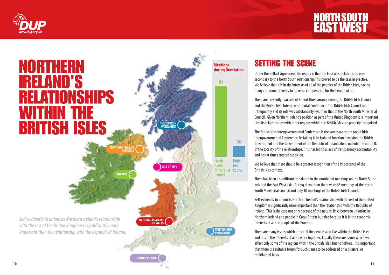



### SETTING THE SCENE

Under the Belfast Agreement the reality is that the East West relationship was secondary to the North South relationship.This proved to be the case in practice. We believe that it is in the interests of all of the peoples of the British Isles, having many common interests, to increase co-operation for the benefit of all.

There are presently two sets of Strand Three arrangements, the British Irish Council and the British Irish Intergovernmental Conference. The British Irish Council met infrequently and its role was substantially less than that of the North South Ministerial Council. Given Northern Ireland's position as part of the United Kingdom it is important that its relationships with other regions within the British Isles are properly recognised.

The British Irish Intergovernmental Conference is the successor to the Anglo Irish Intergovernmental Conference. Its failing is its isolated function involving the British Government and the Government of the Republic of Ireland alone outside the umbrella of the totality of the relationships. This has led to a lack of transparency, accountability and has at times created suspicion.

We believe that there should be a greater recognition of the importance of the British Isles context.

There has been a significant imbalance in the number of meetings on the North South axis and the East West axis. During devolution there were 65 meetings of the North South Ministerial Council and only 10 meetings of the British Irish Council.

Self-evidently to unionists Northern Ireland's relationship with the rest of the United Kingdom is significantly more important than the relationship with the Republic of Ireland. This is the case not only because of the natural links between unionists in Northern Ireland and people in Great Britain but also because it is in the economic interests of all the people of the Province.

There are many issues which affect all the people who live within the British Isles and it is in the interests of all to work together. Equally there are issues which will affect only some of the regions within the British Isles, but not others. It is important that there is a suitable forum for such issues to be addressed on a bilateral or multilateral basis.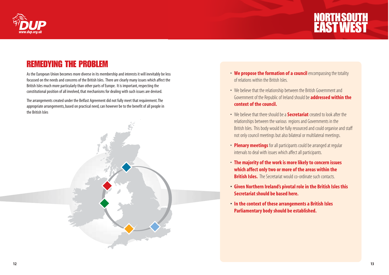



### REMEDYING THE PROBLEM

As the European Union becomes more diverse in its membership and interests it will inevitably be less focussed on the needs and concerns of the British Isles. There are clearly many issues which affect the British Isles much more particularly than other parts of Europe. It is important, respecting the constitutional position of all involved, that mechanisms for dealing with such issues are devised.

The arrangements created under the Belfast Agreement did not fully meet that requirement.The appropriate arrangements, based on practical need, can however be to the benefit of all people in the British Isles



- **We propose the formation of a council** encompassing the totality of relations within the British Isles.
- We believe that the relationship between the British Government and Government of the Republic of Ireland should be **addressed within the context of the council.**
- We believe that there should be a **Secretariat** created to look after the relationships between the various regions and Governments in the British Isles. This body would be fully resourced and could organise and staff not only council meetings but also bilateral or multilateral meetings.
- **Plenary meetings** for all participants could be arranged at regular intervals to deal with issues which affect all participants.
- **The majority of the work is more likely to concern issues which affect only two or more of the areas within the British Isles.** The Secretariat would co-ordinate such contacts.
- **• Given Northern Ireland's pivotal role in the British Isles this Secretariat should be based here.**
- **• In the context of these arrangements a British Isles Parliamentary body should be established.**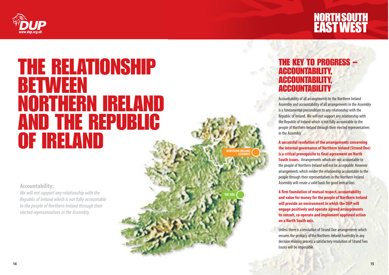

### THE RELATIONSHIP BETWEEN NORTHERN IRELAND AND THE REPUBLIC OF IRELAND

**Accountability:**

*We will not support any relationship with the Republic of Ireland which is not fully accountable tothe people of Northern Ireland through their elected representatives in the Assembly.*

THE KEY TO PROGRESS – ACCOUNTABILITY, ACCOUNTABILITY, ACCOUNTABILITY

Accountability of all arrangements to the Northern Ireland Assembly and accountability of all arrangements in the Assembly is a fundamental precondition to any relationship with the Republic of Ireland. We will not support any relationship with the Republic of Ireland which is not fully accountable to the people of Northern Ireland through their elected representatives in the Assembly

**A successful resolution of the arrangements concerning the internal governance of Northern Ireland (Strand One) is a critical prerequisite to final agreement on North**

**NORTHERN IRELAND ASSEMBLY**

**THE DÁIL**

**South issues.** Arrangements which are not accountable to the people of Northern Ireland will not be acceptable. However arrangements which render the relationship accountable to the people through their representatives in the Northern Ireland Assembly will create a solid basis for good interaction.

**A firm foundation of mutual respect, accountability and value for money for the people of Northern Ireland will provide an environment in which the DUP will engage positively and operate agreed arrangements to consult, co-operate and implement approved action on a North South axis.**

Unless there is a resolution of Strand One arrangements which ensures the primacy of the Northern Ireland Assembly in any decision making process a satisfactory resolution of Strand Two issues will be impossible.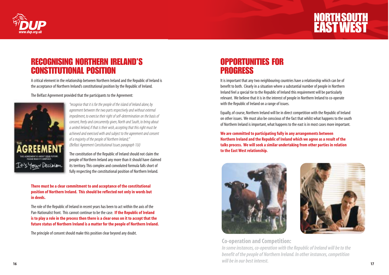

### RECOGNISING NORTHERN IRELAND'S CONSTITUTIONAL POSITION

A critical element in the relationship between Northern Ireland and the Republic of Ireland is the acceptance of Northern Ireland's constitutional position by the Republic of Ireland.

#### The Belfast Agreement provided that the participants to the Agreement:



*"recognise that it is for the people of the island of Ireland alone, by agreement between the two parts respectively and without external impediment, to exercise their right of self-determination on the basis of consent, freely and concurrently given, North and South, to bring about a united Ireland, if that is their wish, accepting that this right must be achieved and exercised with and subject to the agreement and consent of a majority of the people of Northern Ireland;" (Belfast Agreement Constitutional Issues paragraph 1(ii)*

The constitution of the Republic of Ireland should not claim the people of Northern Ireland any more than it should have claimed its territory.This complex and convoluted formula falls short of fully respecting the constitutional position of Northern Ireland.

**There must be a clear commitment to and acceptance of the constitutional position of Northern Ireland. This should be reflected not only in words but in deeds.**

The role of the Republic of Ireland in recent years has been to act within the axis of the Pan-Nationalist front. This cannot continue to be the case. **If the Republic of Ireland is to play a role in the process then there is a clear onus on it to accept that the future status of Northern Ireland is a matter for the people of Northern Ireland.**

The principle of consent should make this position clear beyond any doubt.

### OPPORTUNITIES FOR **PROGRESS**

It is important that any two neighbouring countries have a relationship which can be of benefit to both. Clearly in a situation where a substantial number of people in Northern Ireland feel a special tie to the Republic of Ireland this requirement will be particularly relevant. We believe that it is in the interest of people in Northern Ireland to co-operate with the Republic of Ireland on a range of issues.

Equally, of course, Northern Ireland will be in direct competition with the Republic of Ireland on other issues. We must also be conscious of the fact that whilst what happens to the south of Northern Ireland is important, what happens to the east is in most cases more important.

**We are committed to participating fully in any arrangements between Northern Ireland and the Republic of Ireland which we agree as a result of the talks process. We will seek a similar undertaking from other parties in relation to the East West relationship.**





#### **Co-operation and Competition:**

**16 17** *In some instances, co-operation with the Republic of Ireland will be to the benefit of the people of Northern Ireland. In other instances, competition will be in our best interest.*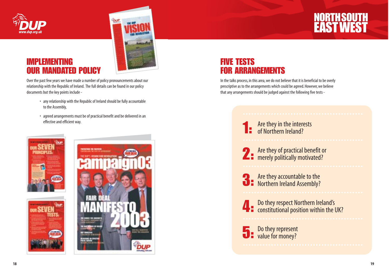

### IMPLEMENTING IR MANDATED POLICY



Over the past few years we have made a number of policy pronouncements about our relationship with the Republic of Ireland. The full details can be found in our policy documents but the key points include -

- $\bm{\cdot}$  any relationship with the Republic of Ireland should be fully accountable to the Assembly,
- agreed arrangements must be of practical benefit and be delivered in an effective and efficient way.



### FIVE TESTS FOR ARRANGEMENTS

In the talks process, in this area, we do not believe that it is beneficial to be overly prescriptive as to the arrangements which could be agreed. However, we believe that any arrangements should be judged against the following five tests -

1: Are they in the interests<br>1: of Northern Ireland?

2: Are they of practical benefit or<br>merely politically motivated?

3: Are they accountable to the<br>3: Northern Ireland Assembly?

**4** Do they respect Northern Ireland's constitutional position within the UK?

**5** Do they represent<br>value for money?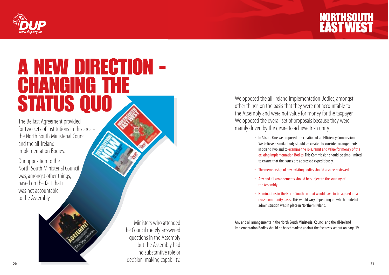



## A NEW DIRECTION - CHANGING THE STATUS QUO

The Belfast Agreement provided for two sets of institutions in this area the North South Ministerial Council and the all-Ireland Implementation Bodies.

Our opposition to the North South Ministerial Council was, amongst other things, based on the fact that it was not accountable to the Assembly.

**20 21** Ministers who attended the Council merely answered questions in the Assembly but the Assembly had no substantive role or decision-making capability.

We opposed the all-Ireland Implementation Bodies, amongst other things on the basis that they were not accountable to the Assembly and were not value for money for the taxpayer. We opposed the overall set of proposals because they were mainly driven by the desire to achieve Irish unity.

- In Strand One we proposed the creation of an Efficiency Commission. We believe a similar body should be created to consider arrangements in Strand Two and to examine the role, remit and value for money of the existing Implementation Bodies.This Commission should be time-limited to ensure that the issues are addressed expeditiously.
- The membership of any existing bodies should also be reviewed.
- Anyand all arrangements should be subject to the scrutiny of the Assembly.
- Nominations in the North South context would have to be agreed on a cross-community basis. This would vary depending on which model of administration was in place in Northern Ireland.

Any and all arrangements in the North South Ministerial Council and the all-Ireland Implementation Bodies should be benchmarked against the five tests set out on page 19.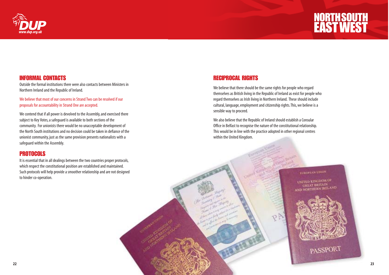

### INFORMAL CONTACTS

Outside the formal institutions there were also contacts between Ministers in Northern Ireland and the Republic of Ireland.

We believe that most of our concerns in Strand Two can be resolved if our proposals for accountability in Strand One are accepted.

We contend that if all power is devolved to the Assembly, and exercised there subject to Key Votes, a safeguard is available to both sections of the community. For unionists there would be no unacceptable development of the North South institutions and no decision could be taken in defiance of the unionist community, just as the same provision presents nationalists with a safeguard within the Assembly.

#### **PROTOCOLS**

It is essential that in all dealings between the two countries proper protocols, which respect the constitutional position are established and maintained. Such protocols will help provide a smoother relationship and are not designed to hinder co-operation.

### RECIPROCAL RIGHTS

We believe that there should be the same rights for people who regard themselves as British living in the Republic of Ireland as exist for people who regard themselves as Irish living in Northern Ireland. These should include cultural, language, employment and citizenship rights.This, we believe is a sensible way to proceed.

Wealso believe that the Republic of Ireland should establish a Consular Office in Belfast to recognise the nature of the constitutional relationship. This would be in line with the practice adopted in other regional centres within the United Kingdom.

#### EUROPEAN UNUS

UNITED KINGDOM OF **GREAT BRITAIN** AND NORTHERN IRELAND



PASSPORT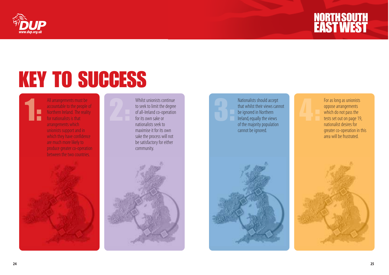



# KEY TO SUCCESS

1: All arrangements must be accountable to the people of Northern Ireland. The reality for nationalists is that arrangements which unionists support and in which they have confidence are much more likely to produce greater co-operation between the two countries.



Whilst unionists continue<br>to seek to limit the degree<br>of all-Ireland co-operation<br>for its own sake or nationalists seek to maximise it for its own sake the process will not be satisfactory for either community.





Nationalists should accept<br>that whilst their views cannot<br>be ignored in Northern<br>Ireland, equally the views of the majority population cannot be ignored.



4: For as long as unionists oppose arrangements which do not pass the tests set out on page 19, nationalist desires for greater co-operation in this area will be frustrated.

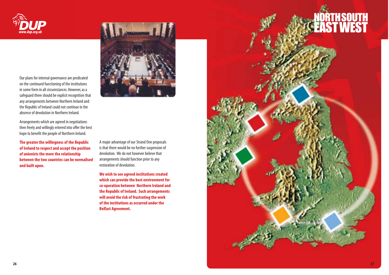

Our plans for internal governance are predicated on the continued functioning of the institutions in some form in all circumstances. However, as a safeguard there should be explicit recognition that any arrangements between Northern Ireland and the Republic of Ireland could not continue in the absence of devolution in Northern Ireland.

Arrangements which are agreed in negotiations then freely and willingly entered into offer the best hope to benefit the people of Northern Ireland.

**The greater the willingness of the Republic of Ireland to respect and accept the position of unionists the more the relationship between the two countries can be normalised and built upon.**



A major advantage of our Strand One proposals is that there would be no further suspension of devolution. We do not however believe that arrangements should function prior to any restoration of devolution.

**We wish to see agreed institutions created which can provide the best environment for co-operation between Northern Ireland and the Republic of Ireland. Such arrangements will avoid the risk of frustrating the work of the institutions as occurred under the Belfast Agreement.**

# **ORTH SOUTH<br>AST WEST**